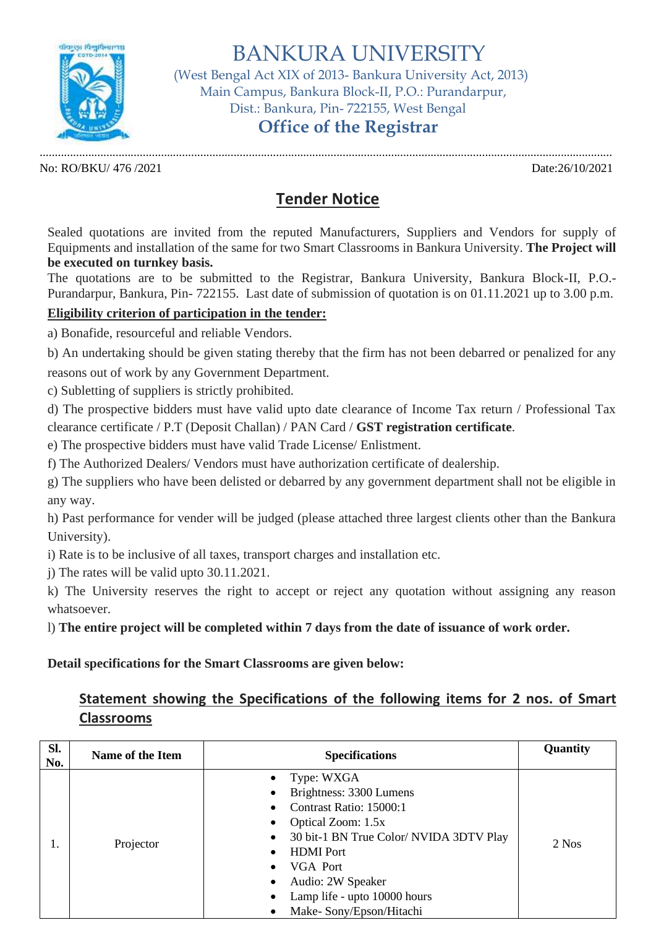

BANKURA UNIVERSITY

 (West Bengal Act XIX of 2013- Bankura University Act, 2013) Main Campus, Bankura Block-II, P.O.: Purandarpur, Dist.: Bankura, Pin- 722155, West Bengal

## **Office of the Registrar**

............................................................................................................................................................................................. No: RO/BKU/ 476 /2021 Date:26/10/2021

## **Tender Notice**

Sealed quotations are invited from the reputed Manufacturers, Suppliers and Vendors for supply of Equipments and installation of the same for two Smart Classrooms in Bankura University. **The Project will be executed on turnkey basis.**

The quotations are to be submitted to the Registrar, Bankura University, Bankura Block-II, P.O.- Purandarpur, Bankura, Pin- 722155. Last date of submission of quotation is on 01.11.2021 up to 3.00 p.m.

## **Eligibility criterion of participation in the tender:**

a) Bonafide, resourceful and reliable Vendors.

b) An undertaking should be given stating thereby that the firm has not been debarred or penalized for any reasons out of work by any Government Department.

c) Subletting of suppliers is strictly prohibited.

d) The prospective bidders must have valid upto date clearance of Income Tax return / Professional Tax clearance certificate / P.T (Deposit Challan) / PAN Card / **GST registration certificate**.

e) The prospective bidders must have valid Trade License/ Enlistment.

f) The Authorized Dealers/ Vendors must have authorization certificate of dealership.

g) The suppliers who have been delisted or debarred by any government department shall not be eligible in any way.

h) Past performance for vender will be judged (please attached three largest clients other than the Bankura University).

i) Rate is to be inclusive of all taxes, transport charges and installation etc.

j) The rates will be valid upto 30.11.2021.

k) The University reserves the right to accept or reject any quotation without assigning any reason whatsoever.

l) **The entire project will be completed within 7 days from the date of issuance of work order.**

**Detail specifications for the Smart Classrooms are given below:**

## **Statement showing the Specifications of the following items for 2 nos. of Smart Classrooms**

| SI.<br>No. | <b>Name of the Item</b> | <b>Specifications</b>                                                                                                                                                                                                                                                                                                                  | Quantity |
|------------|-------------------------|----------------------------------------------------------------------------------------------------------------------------------------------------------------------------------------------------------------------------------------------------------------------------------------------------------------------------------------|----------|
| ı.         | Projector               | Type: WXGA<br>$\bullet$<br>Brightness: 3300 Lumens<br>٠<br>Contrast Ratio: 15000:1<br>Optical Zoom: 1.5x<br>$\bullet$<br>30 bit-1 BN True Color/ NVIDA 3DTV Play<br>٠<br><b>HDMI</b> Port<br>$\bullet$<br>VGA Port<br>$\bullet$<br>Audio: 2W Speaker<br>٠<br>Lamp life - upto 10000 hours<br>$\bullet$<br>Make-Sony/Epson/Hitachi<br>٠ | 2 Nos    |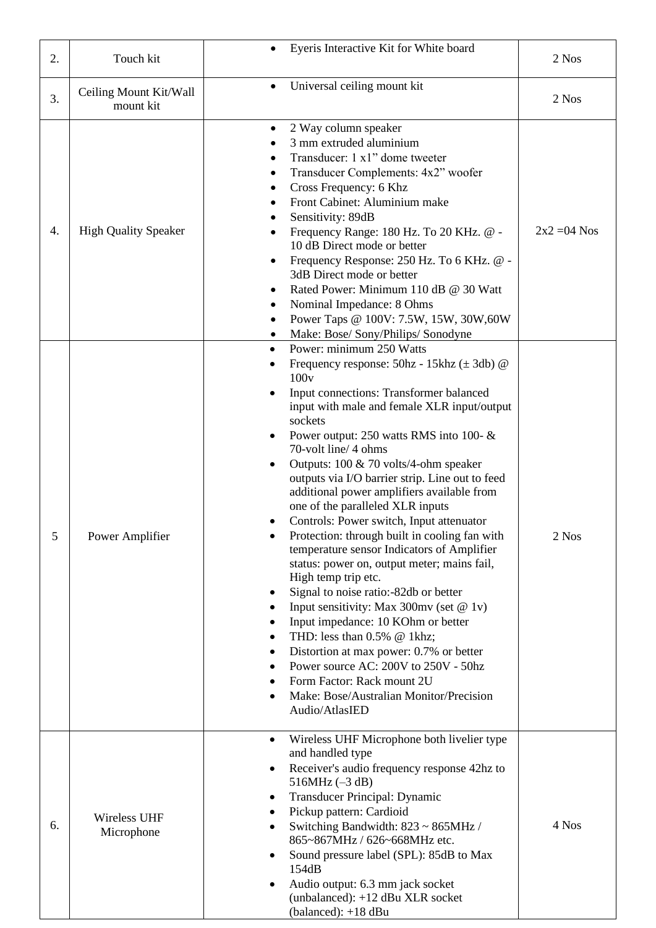| 2. | Touch kit                           | Eyeris Interactive Kit for White board<br>$\bullet$                                                                                                                                                                                                                                                                                                                                                                                                                                                                                                                                                                                                                                                                                                                                                                                                                                                                                                                                                                        | 2 Nos          |
|----|-------------------------------------|----------------------------------------------------------------------------------------------------------------------------------------------------------------------------------------------------------------------------------------------------------------------------------------------------------------------------------------------------------------------------------------------------------------------------------------------------------------------------------------------------------------------------------------------------------------------------------------------------------------------------------------------------------------------------------------------------------------------------------------------------------------------------------------------------------------------------------------------------------------------------------------------------------------------------------------------------------------------------------------------------------------------------|----------------|
| 3. | Ceiling Mount Kit/Wall<br>mount kit | Universal ceiling mount kit<br>$\bullet$                                                                                                                                                                                                                                                                                                                                                                                                                                                                                                                                                                                                                                                                                                                                                                                                                                                                                                                                                                                   | 2 Nos          |
| 4. | <b>High Quality Speaker</b>         | 2 Way column speaker<br>٠<br>3 mm extruded aluminium<br>Transducer: 1 x1" dome tweeter<br>Transducer Complements: 4x2" woofer<br>Cross Frequency: 6 Khz<br>Front Cabinet: Aluminium make<br>Sensitivity: 89dB<br>Frequency Range: 180 Hz. To 20 KHz. @ -<br>٠<br>10 dB Direct mode or better<br>Frequency Response: 250 Hz. To 6 KHz. @ -<br>٠<br>3dB Direct mode or better<br>Rated Power: Minimum 110 dB @ 30 Watt<br>٠<br>Nominal Impedance: 8 Ohms<br>Power Taps @ 100V: 7.5W, 15W, 30W, 60W<br>$\bullet$<br>Make: Bose/ Sony/Philips/ Sonodyne                                                                                                                                                                                                                                                                                                                                                                                                                                                                        | $2x2 = 04$ Nos |
| 5  | Power Amplifier                     | Power: minimum 250 Watts<br>$\bullet$<br>Frequency response: $50hz - 15khz (\pm 3db) @$<br>100v<br>Input connections: Transformer balanced<br>input with male and female XLR input/output<br>sockets<br>Power output: 250 watts RMS into 100- $\&$<br>٠<br>70-volt line/ 4 ohms<br>Outputs: 100 & 70 volts/4-ohm speaker<br>٠<br>outputs via I/O barrier strip. Line out to feed<br>additional power amplifiers available from<br>one of the paralleled XLR inputs<br>Controls: Power switch, Input attenuator<br>Protection: through built in cooling fan with<br>temperature sensor Indicators of Amplifier<br>status: power on, output meter; mains fail,<br>High temp trip etc.<br>Signal to noise ratio:-82db or better<br>Input sensitivity: Max 300mv (set @ 1v)<br>Input impedance: 10 KOhm or better<br>THD: less than 0.5% @ 1khz;<br>Distortion at max power: 0.7% or better<br>Power source AC: 200V to 250V - 50hz<br>Form Factor: Rack mount 2U<br>Make: Bose/Australian Monitor/Precision<br>Audio/AtlasIED | 2 Nos          |
| 6. | Wireless UHF<br>Microphone          | Wireless UHF Microphone both livelier type<br>$\bullet$<br>and handled type<br>Receiver's audio frequency response 42hz to<br>٠<br>516MHz $(-3 dB)$<br>Transducer Principal: Dynamic<br>٠<br>Pickup pattern: Cardioid<br>٠<br>Switching Bandwidth: 823 ~ 865MHz /<br>٠<br>865~867MHz / 626~668MHz etc.<br>Sound pressure label (SPL): 85dB to Max<br>154dB<br>Audio output: 6.3 mm jack socket<br>(unbalanced): +12 dBu XLR socket<br>$(balanceed): +18 dBu$                                                                                                                                                                                                                                                                                                                                                                                                                                                                                                                                                               | 4 Nos          |